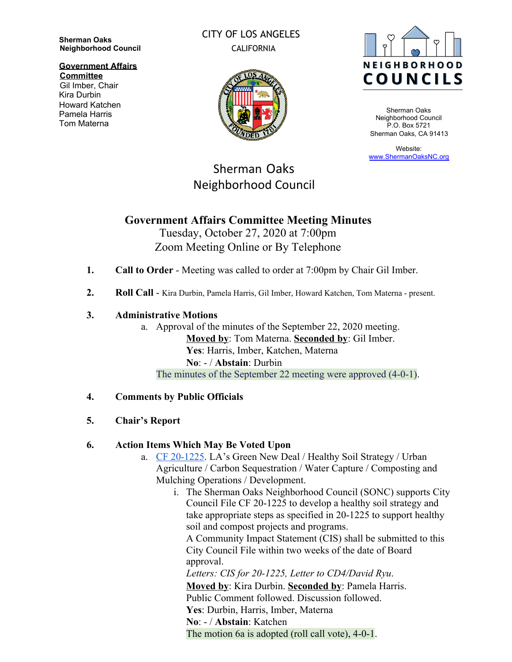**Sherman Oaks Neighborhood Council**

**Government Affairs**

**Committee** Gil Imber, Chair Kira Durbin Howard Katchen Pamela Harris Tom Materna

## CITY OF LOS ANGELES CALIFORNIA



Sherman Oaks Neighborhood Council P.O. Box 5721 Sherman Oaks, CA 91413

Website: [www.ShermanOaksNC.org](http://www.shermanoaksnc.org/)

# Sherman Oaks Neighborhood Council

## **Government Affairs Committee Meeting Minutes**

Tuesday, October 27, 2020 at 7:00pm Zoom Meeting Online or By Telephone

- **1. Call to Order** Meeting was called to order at 7:00pm by Chair Gil Imber.
- **2. Roll Call** Kira Durbin, Pamela Harris, Gil Imber, Howard Katchen, Tom Materna present.

#### **3. Administrative Motions**

a. Approval of the minutes of the September 22, 2020 meeting. **Moved by**: Tom Materna. **Seconded by**: Gil Imber. **Yes**: Harris, Imber, Katchen, Materna **No**: - / **Abstain**: Durbin The minutes of the September 22 meeting were approved (4-0-1).

## **4. Comments by Public Officials**

## **5. Chair's Report**

## **6. Action Items Which May Be Voted Upon**

- a. [CF 20-1225](https://cityclerk.lacity.org/lacityclerkconnect/index.cfm?fa=ccfi.viewrecord&cfnumber=20-1225). LA's Green New Deal / Healthy Soil Strategy / Urban Agriculture / Carbon Sequestration / Water Capture / Composting and Mulching Operations / Development.
	- i. The Sherman Oaks Neighborhood Council (SONC) supports City Council File CF 20-1225 to develop a healthy soil strategy and take appropriate steps as specified in 20-1225 to support healthy soil and compost projects and programs.

A Community Impact Statement (CIS) shall be submitted to this City Council File within two weeks of the date of Board approval.

*Letters: CIS for 20-1225, Letter to CD4/David Ryu*.

**Moved by**: Kira Durbin. **Seconded by**: Pamela Harris. Public Comment followed. Discussion followed. **Yes**: Durbin, Harris, Imber, Materna **No**: - / **Abstain**: Katchen

The motion 6a is adopted (roll call vote), 4-0-1.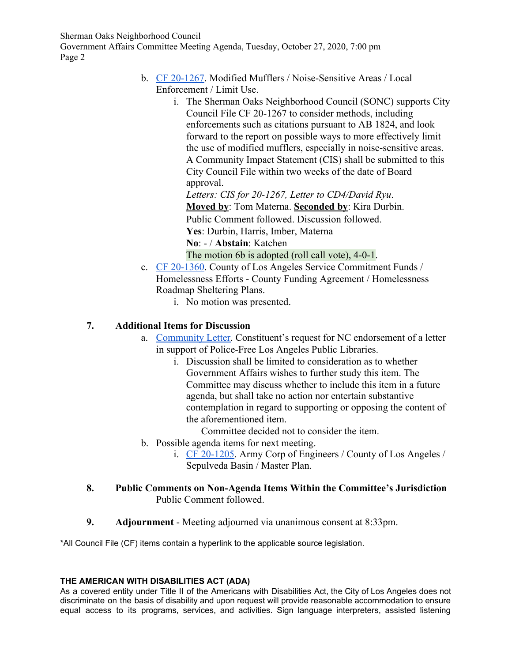Sherman Oaks Neighborhood Council

Government Affairs Committee Meeting Agenda, Tuesday, October 27, 2020, 7:00 pm Page 2

- b. [CF 20-1267](https://cityclerk.lacity.org/lacityclerkconnect/index.cfm?fa=ccfi.viewrecord&cfnumber=20-1267). Modified Mufflers / Noise-Sensitive Areas / Local Enforcement / Limit Use.
	- i. The Sherman Oaks Neighborhood Council (SONC) supports City Council File CF 20-1267 to consider methods, including enforcements such as citations pursuant to AB 1824, and look forward to the report on possible ways to more effectively limit the use of modified mufflers, especially in noise-sensitive areas. A Community Impact Statement (CIS) shall be submitted to this City Council File within two weeks of the date of Board approval.

*Letters: CIS for 20-1267, Letter to CD4/David Ryu*. **Moved by**: Tom Materna. **Seconded by**: Kira Durbin. Public Comment followed. Discussion followed. **Yes**: Durbin, Harris, Imber, Materna **No**: - / **Abstain**: Katchen

The motion 6b is adopted (roll call vote), 4-0-1.

- c. [CF 20-1360](https://cityclerk.lacity.org/lacityclerkconnect/index.cfm?fa=ccfi.viewrecord&cfnumber=20-1360). County of Los Angeles Service Commitment Funds / Homelessness Efforts - County Funding Agreement / Homelessness Roadmap Sheltering Plans.
	- i. No motion was presented.

#### **7. Additional Items for Discussion**

- a. [Community Letter.](https://docs.google.com/document/d/1ghW0b6szuMOCX6ytscuMF5MKLirdYITJTWfrUQPeq8M/edit) Constituent's request for NC endorsement of a letter in support of Police-Free Los Angeles Public Libraries.
	- i. Discussion shall be limited to consideration as to whether Government Affairs wishes to further study this item. The Committee may discuss whether to include this item in a future agenda, but shall take no action nor entertain substantive contemplation in regard to supporting or opposing the content of the aforementioned item.

Committee decided not to consider the item.

- b. Possible agenda items for next meeting.
	- i. [CF 20-1205](https://cityclerk.lacity.org/lacityclerkconnect/index.cfm?fa=ccfi.viewrecord&cfnumber=20-1205). Army Corp of Engineers / County of Los Angeles / Sepulveda Basin / Master Plan.

#### **8. Public Comments on Non-Agenda Items Within the Committee's Jurisdiction** Public Comment followed.

**9. Adjournment** - Meeting adjourned via unanimous consent at 8:33pm.

\*All Council File (CF) items contain a hyperlink to the applicable source legislation.

#### **THE AMERICAN WITH DISABILITIES ACT (ADA)**

As a covered entity under Title II of the Americans with Disabilities Act, the City of Los Angeles does not discriminate on the basis of disability and upon request will provide reasonable accommodation to ensure equal access to its programs, services, and activities. Sign language interpreters, assisted listening